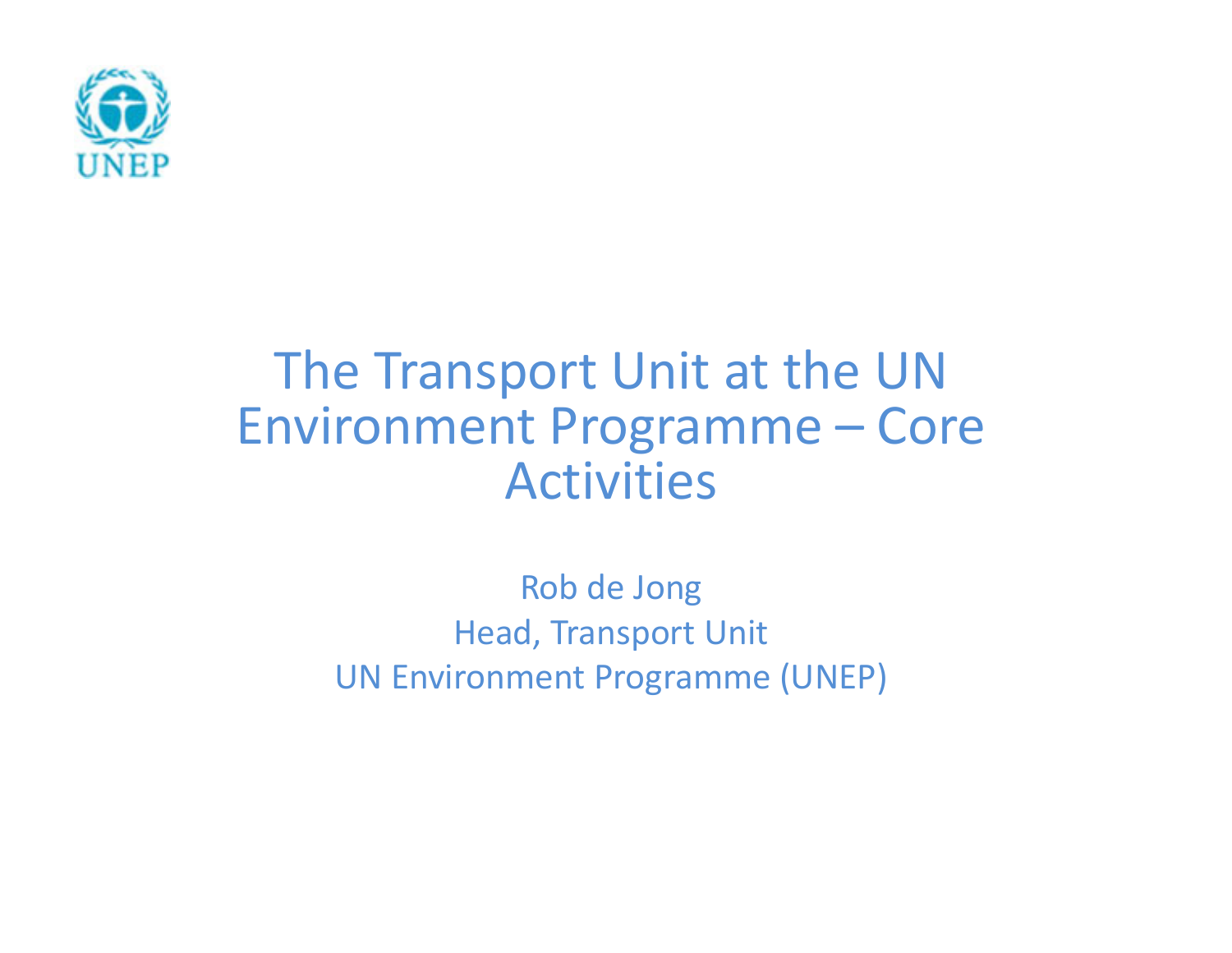

### The Transport Unit at the UN Environment Programme – Core Activities

Rob de Jong Head, Transport Unit UN Environment Programme (UNEP)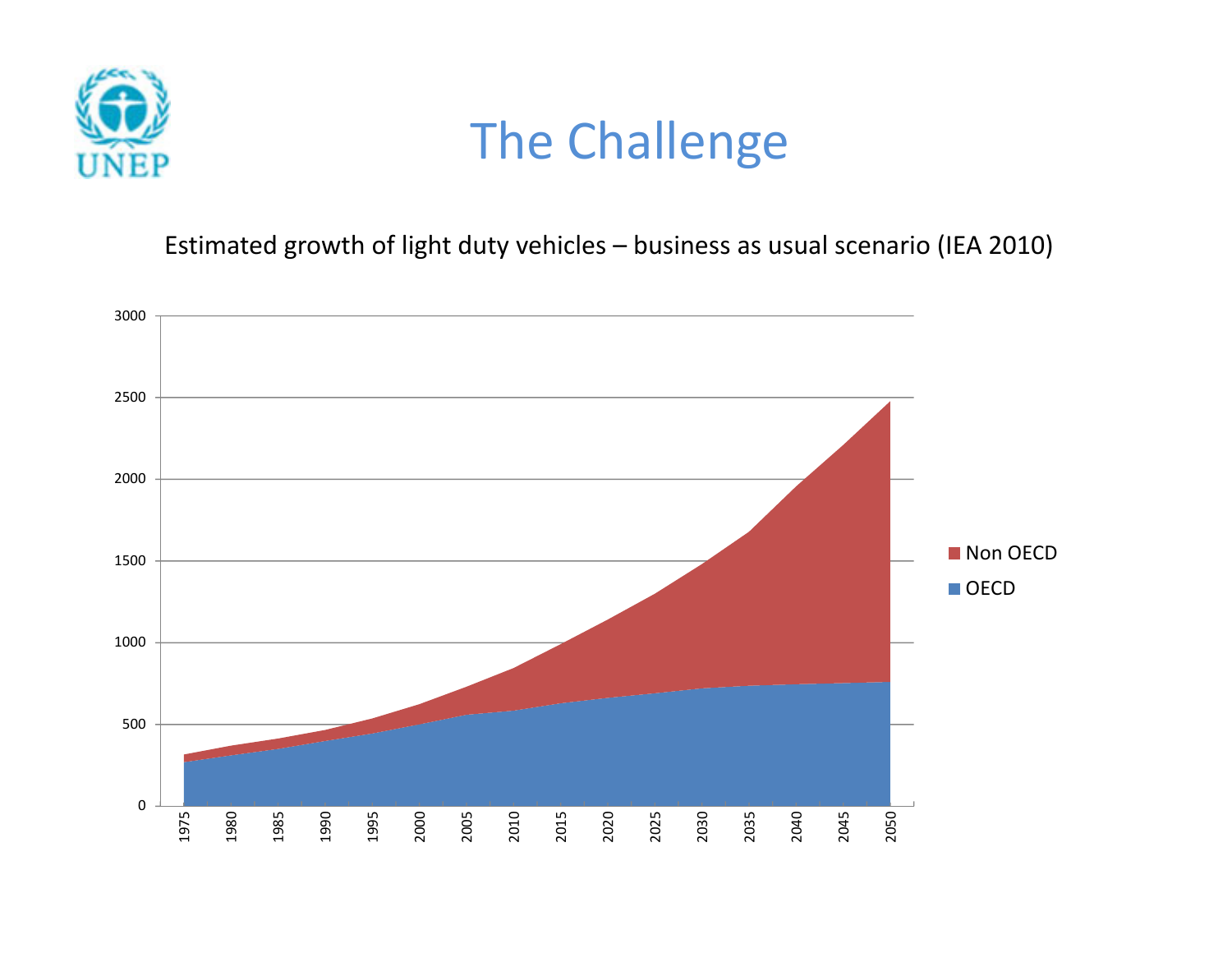

### The Challenge

Estimated growth of light duty vehicles – business as usual scenario (IEA 2010)

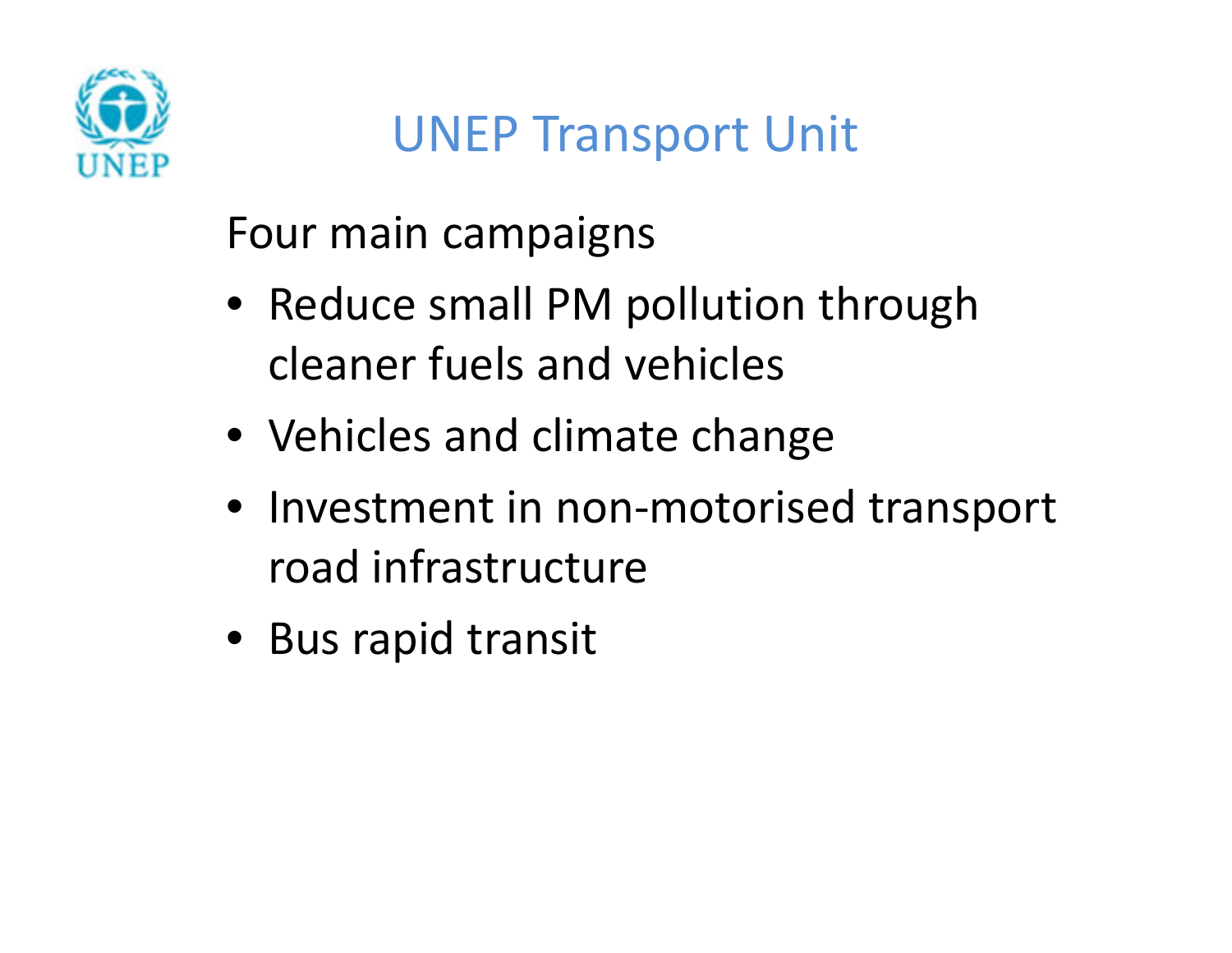

## UNEP Transport Unit

Four main campaigns

- Reduce small PM pollution through cleaner fuels and vehicles
- Vehicles and climate change
- Investment in non‐motorised transport road infrastructure
- Bus rapid transit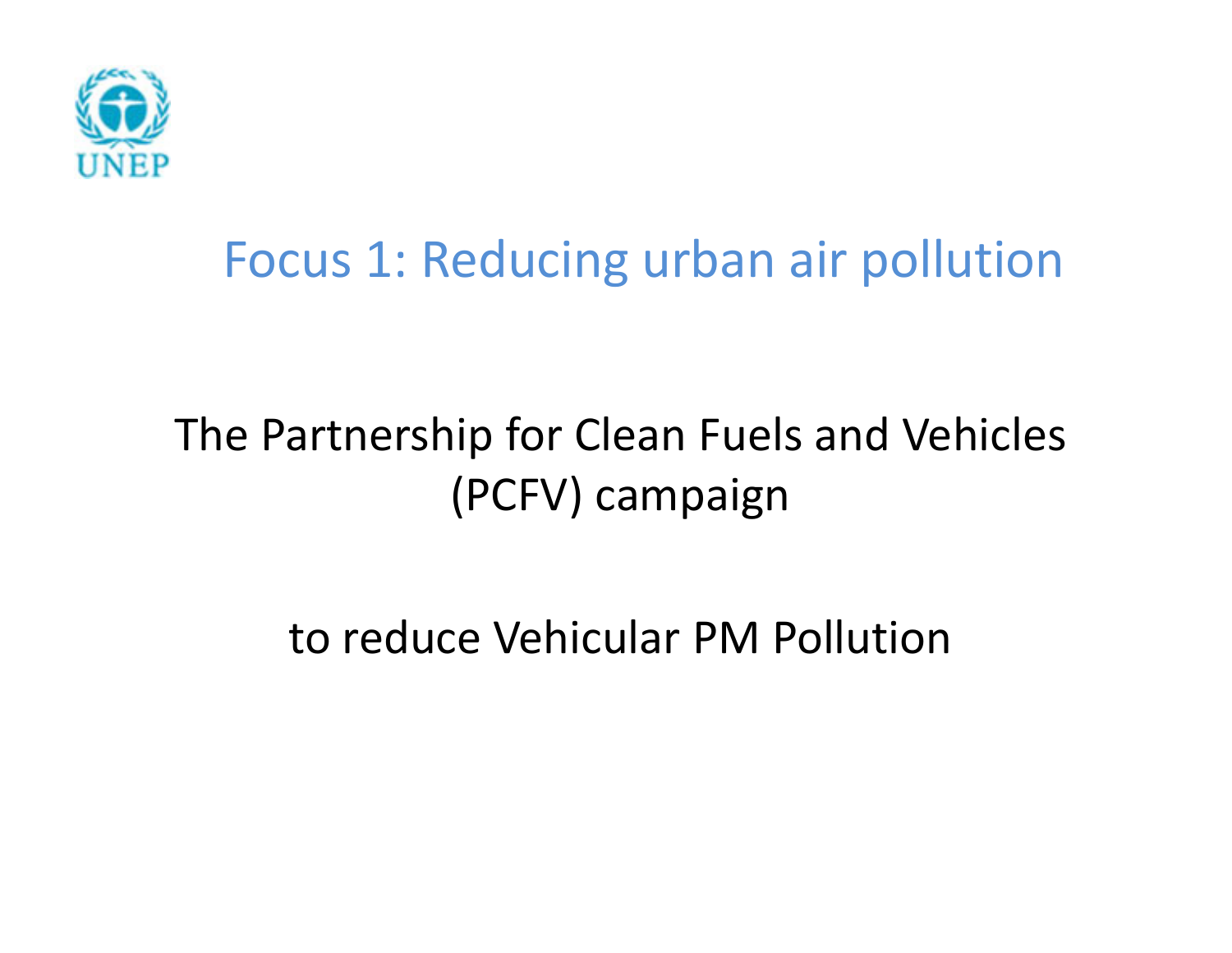

### Focus 1: Reducing urban air pollution

### The Partnership for Clean Fuels and Vehicles (PCFV) campaign

to reduce Vehicular PM Pollution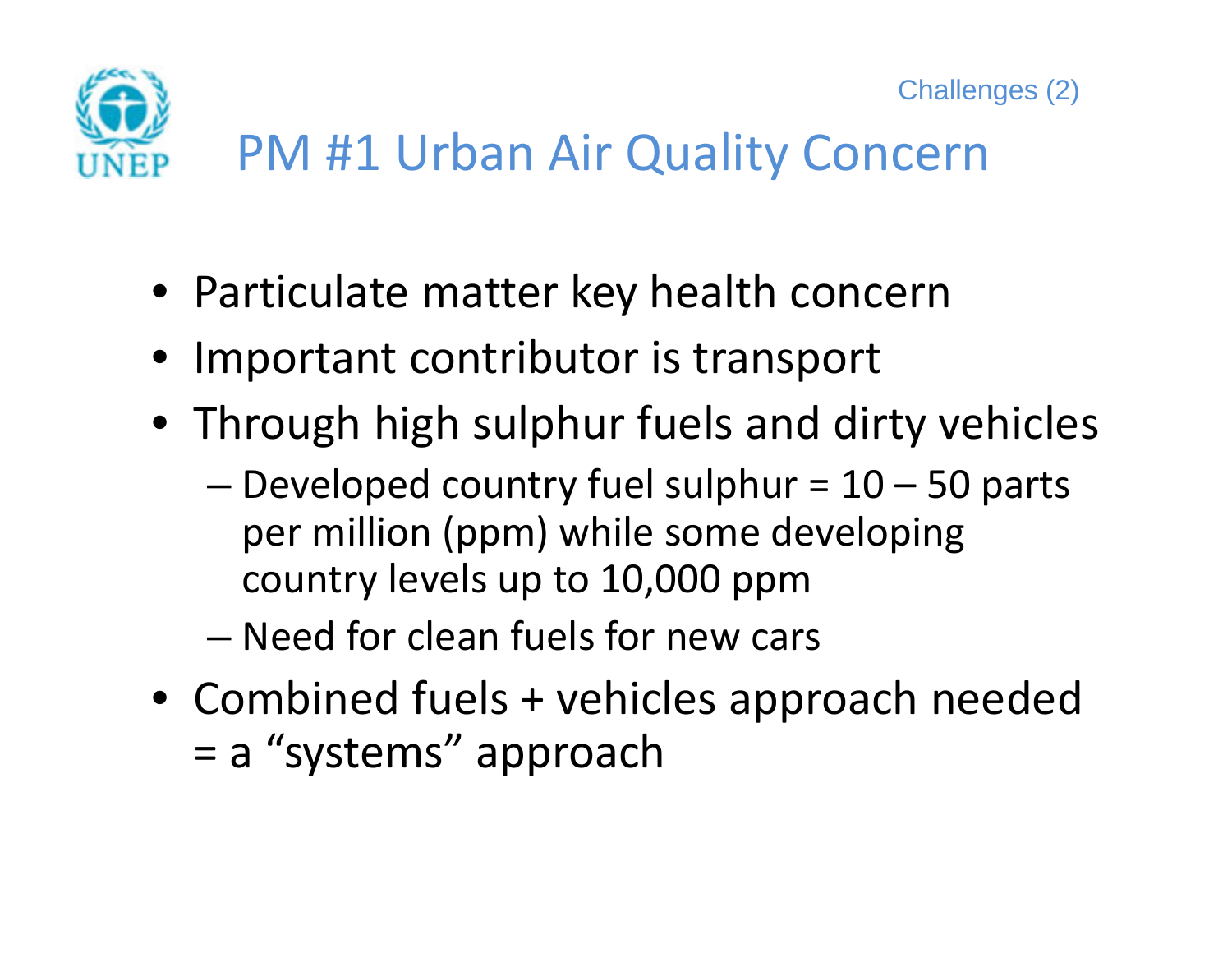

- Particulate matter key health concern
- Important contributor is transport
- Through high sulphur fuels and dirty vehicles
	- Developed country fuel sulphur <sup>=</sup> 10 50 parts per million (ppm) while some developing country levels up to 10,000 ppm
	- Need for clean fuels for new cars
- Combined fuels <sup>+</sup> vehicles approach needed == a "systems" approach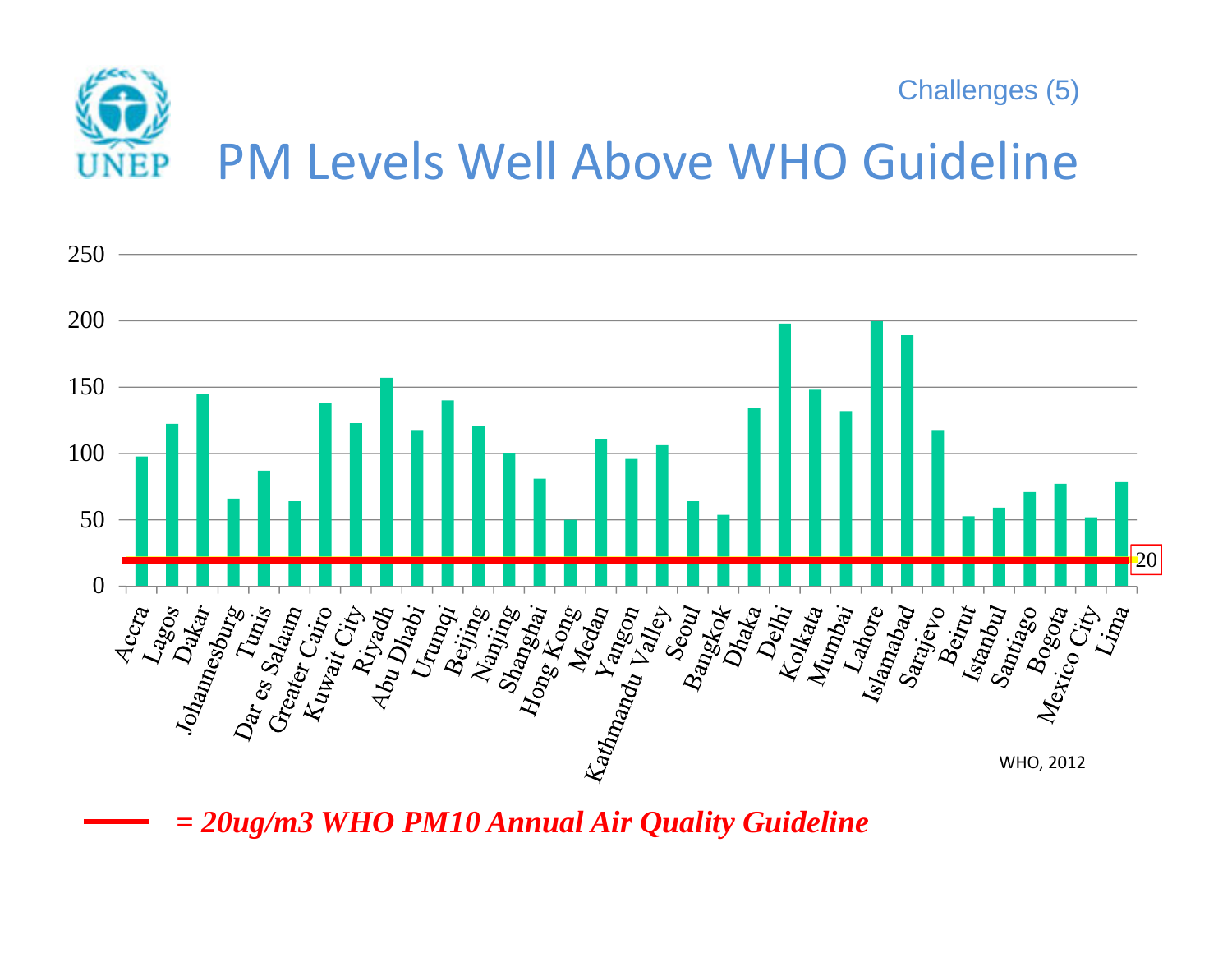



*= 20ug/m3 WHO PM10 Annual Air Quality Guideline*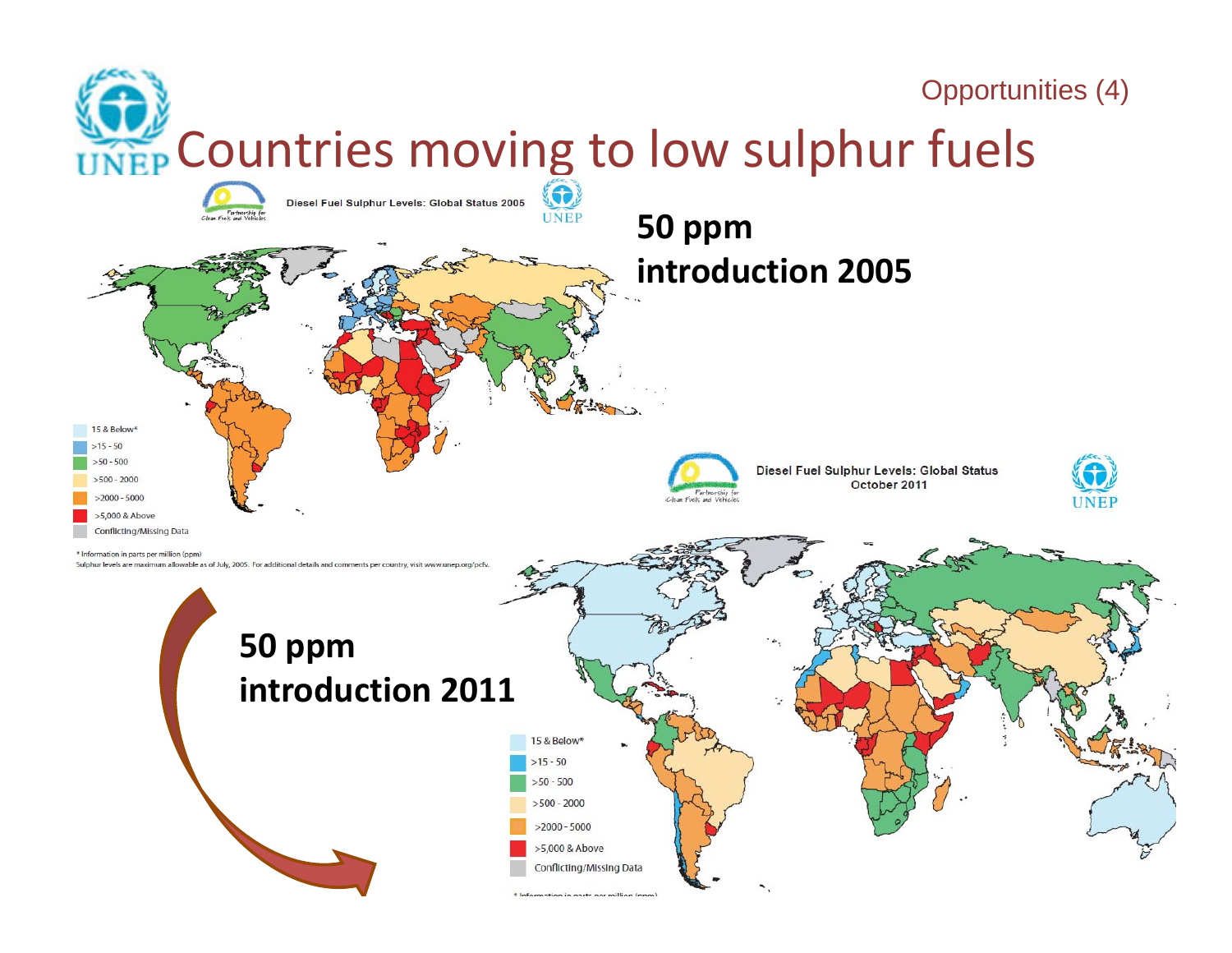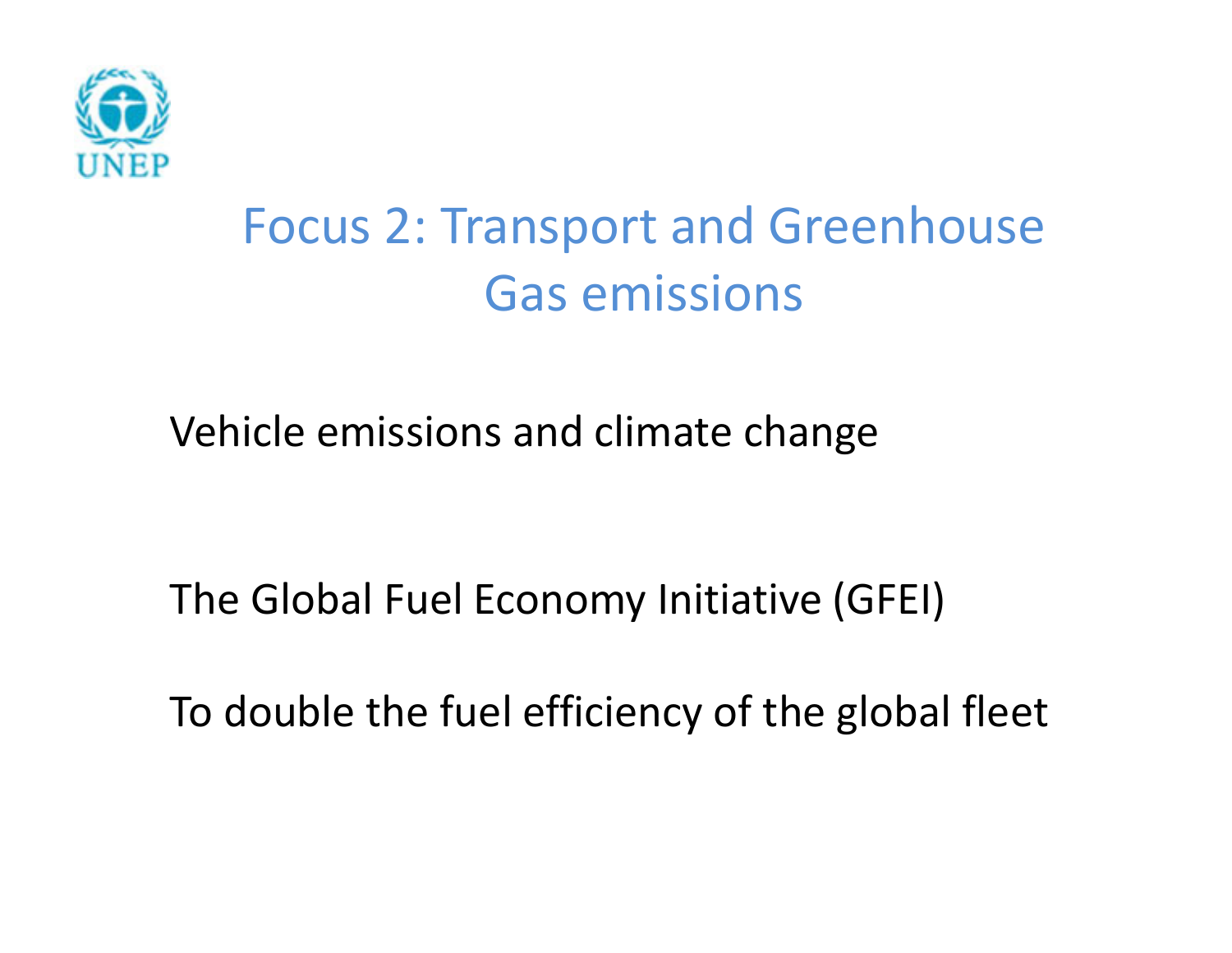

# Focus 2: Transport and Greenhouse Gas emissions

Vehicle emissions and climate change

The Global Fuel Economy Initiative (GFEI)

To double the fuel efficiency of the global fleet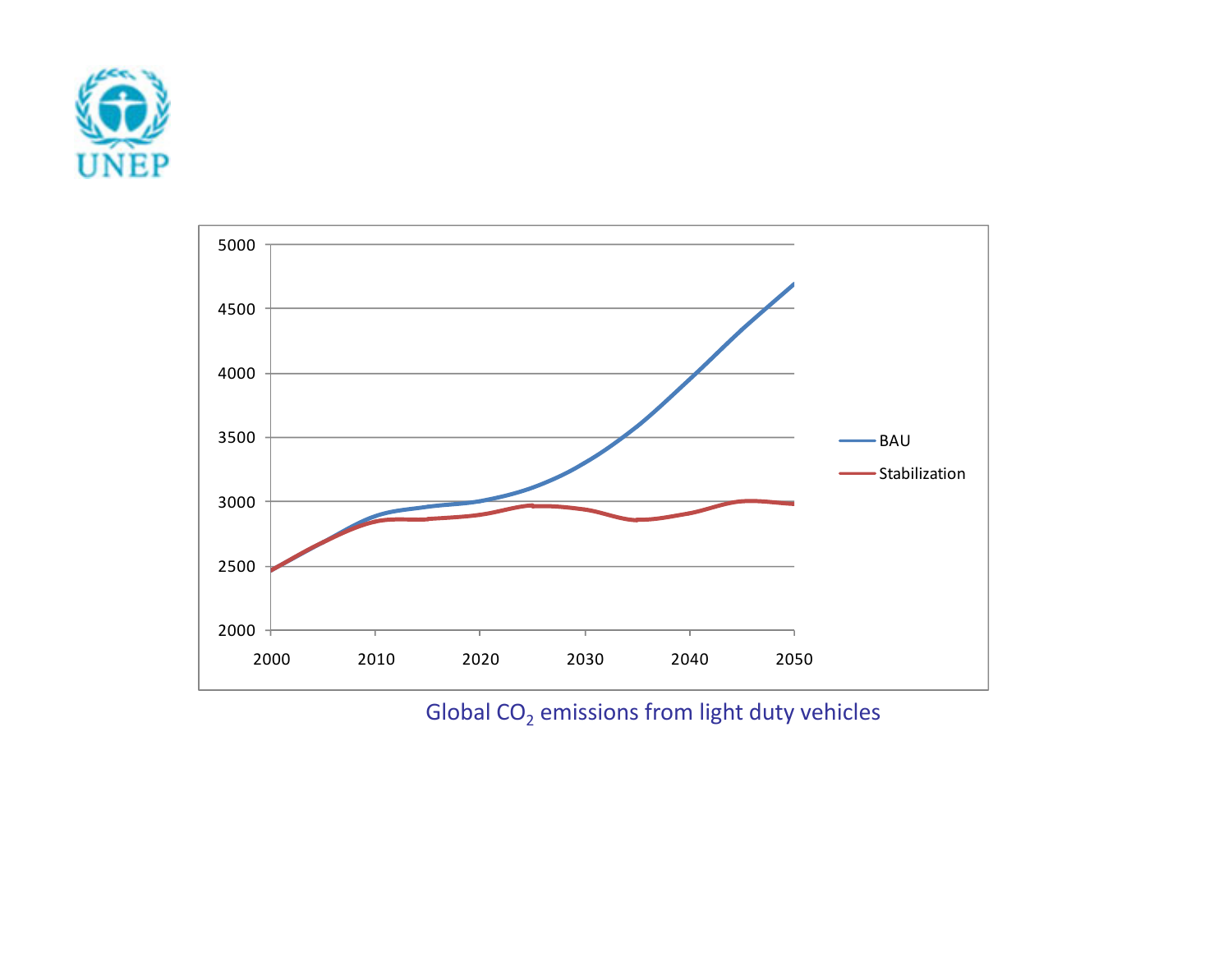



Global CO $_2$  emissions from light duty vehicles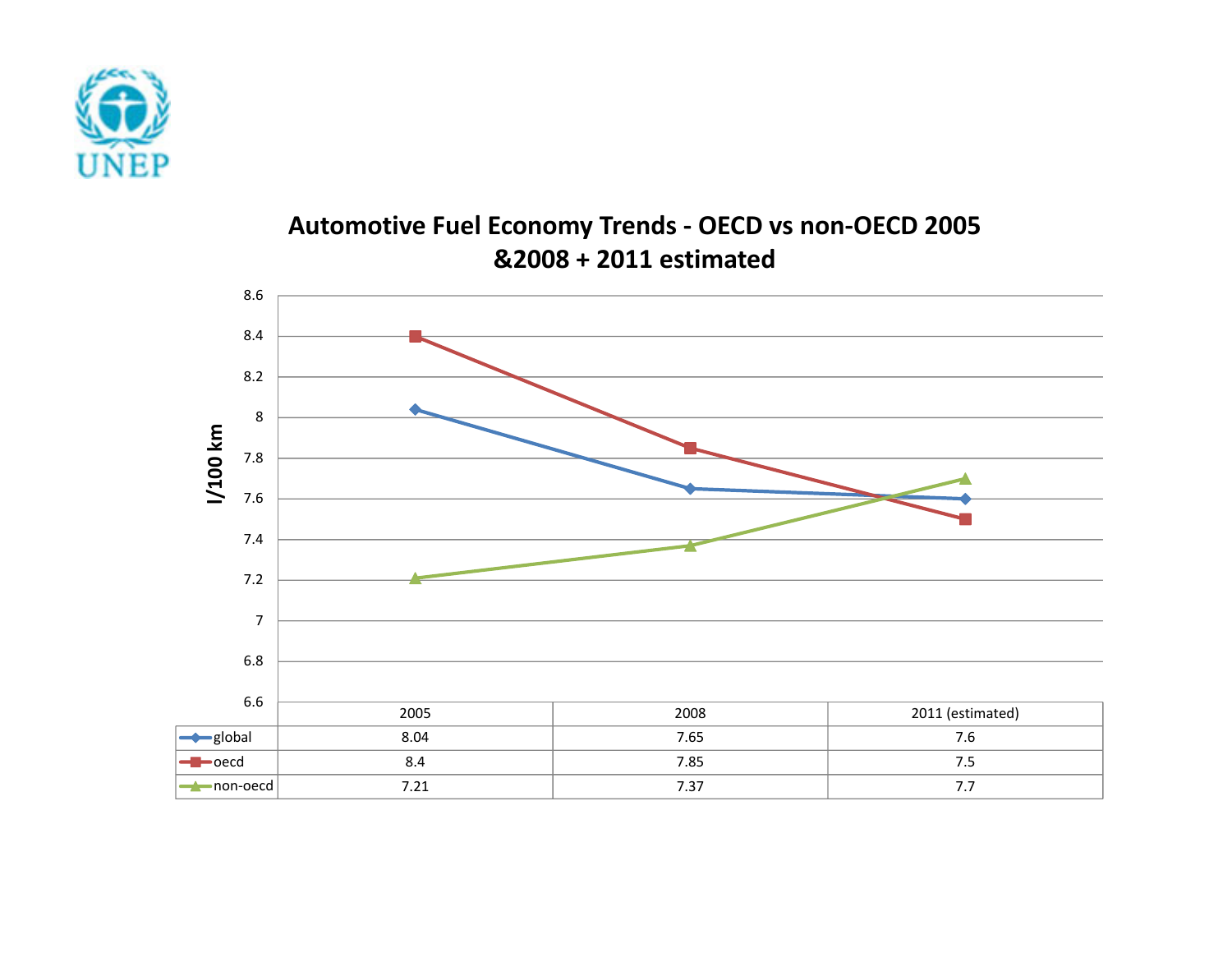

#### **Automotive Fuel Economy Trends ‐ OECD vs non‐OECD 2005 &2008 + 2011 estimated**

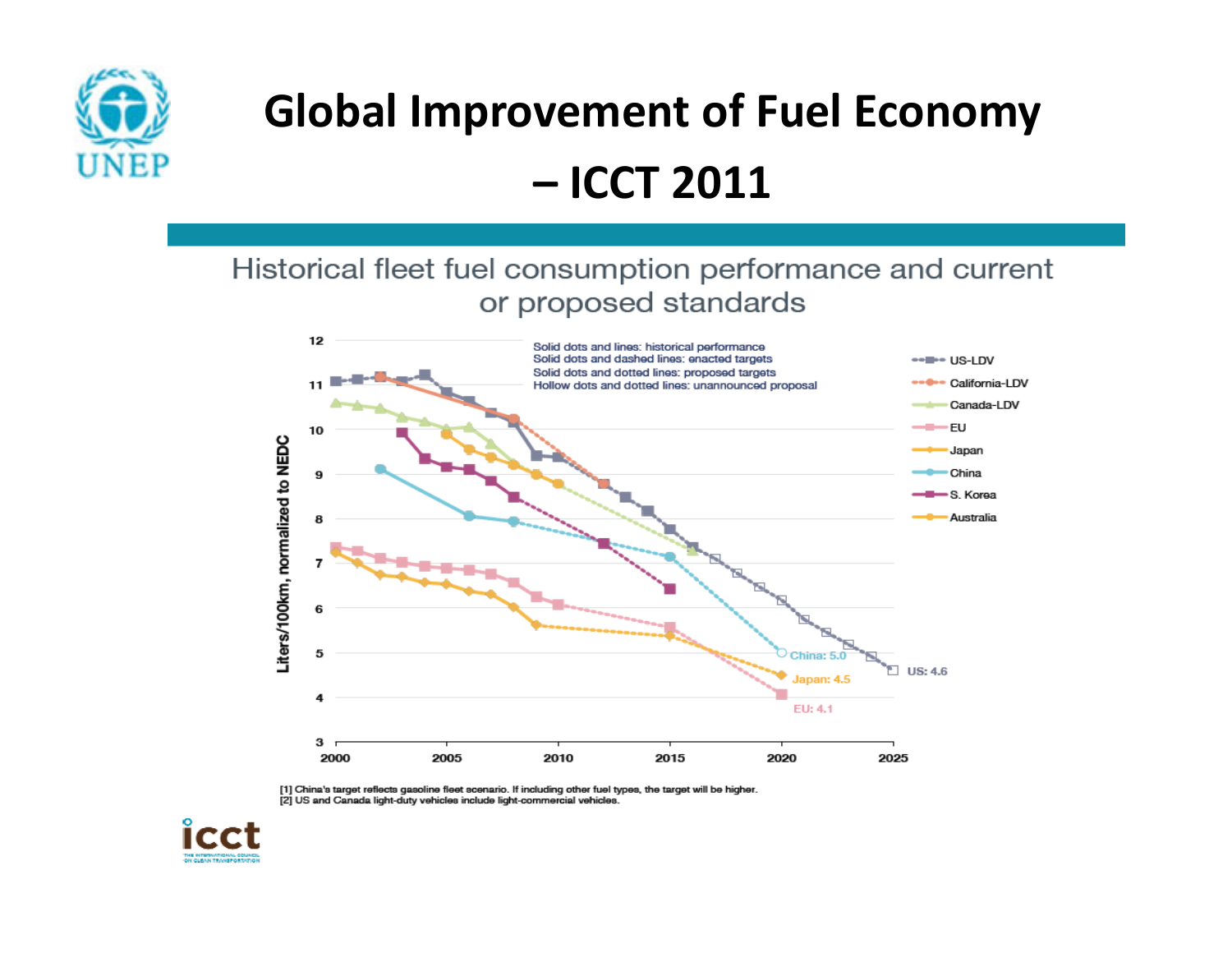

# **Global Improvement of Fuel Economy – ICCT 2011**

#### Historical fleet fuel consumption performance and current or proposed standards



[1] China's target reflects gasoline fleet scenario. If including other fuel types, the target will be higher. [2] US and Canada light-duty vehicles include light-commercial vehicles.

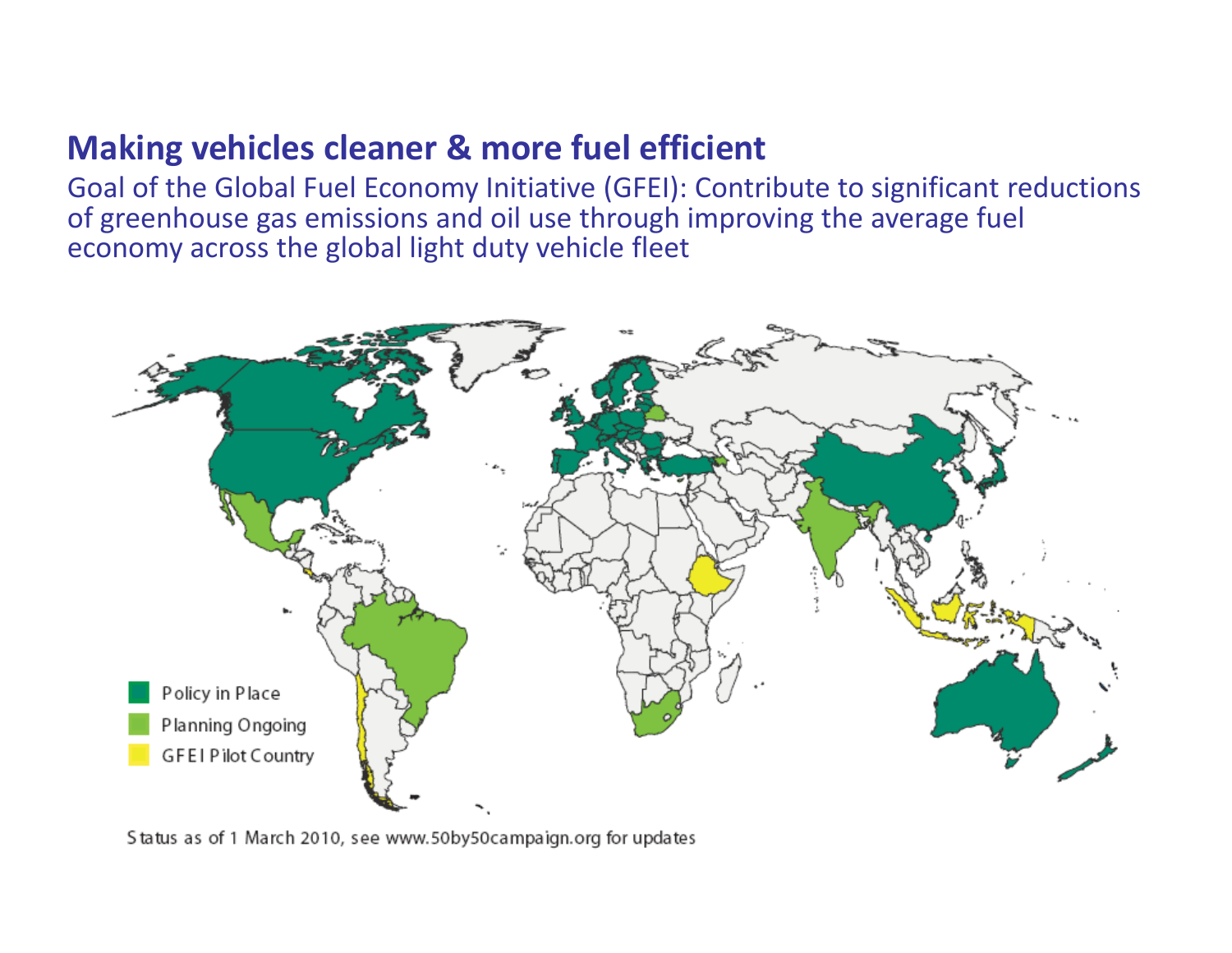#### **Making vehicles cleaner & more fuel efficient**

Goal of the Global Fuel Economy Initiative (GFEI): Contribute to significant reductions of greenhouse gas emissions and oil use through improving the average fuel economy across the global light duty vehicle fleet



Status as of 1 March 2010, see www.50by50campaign.org for updates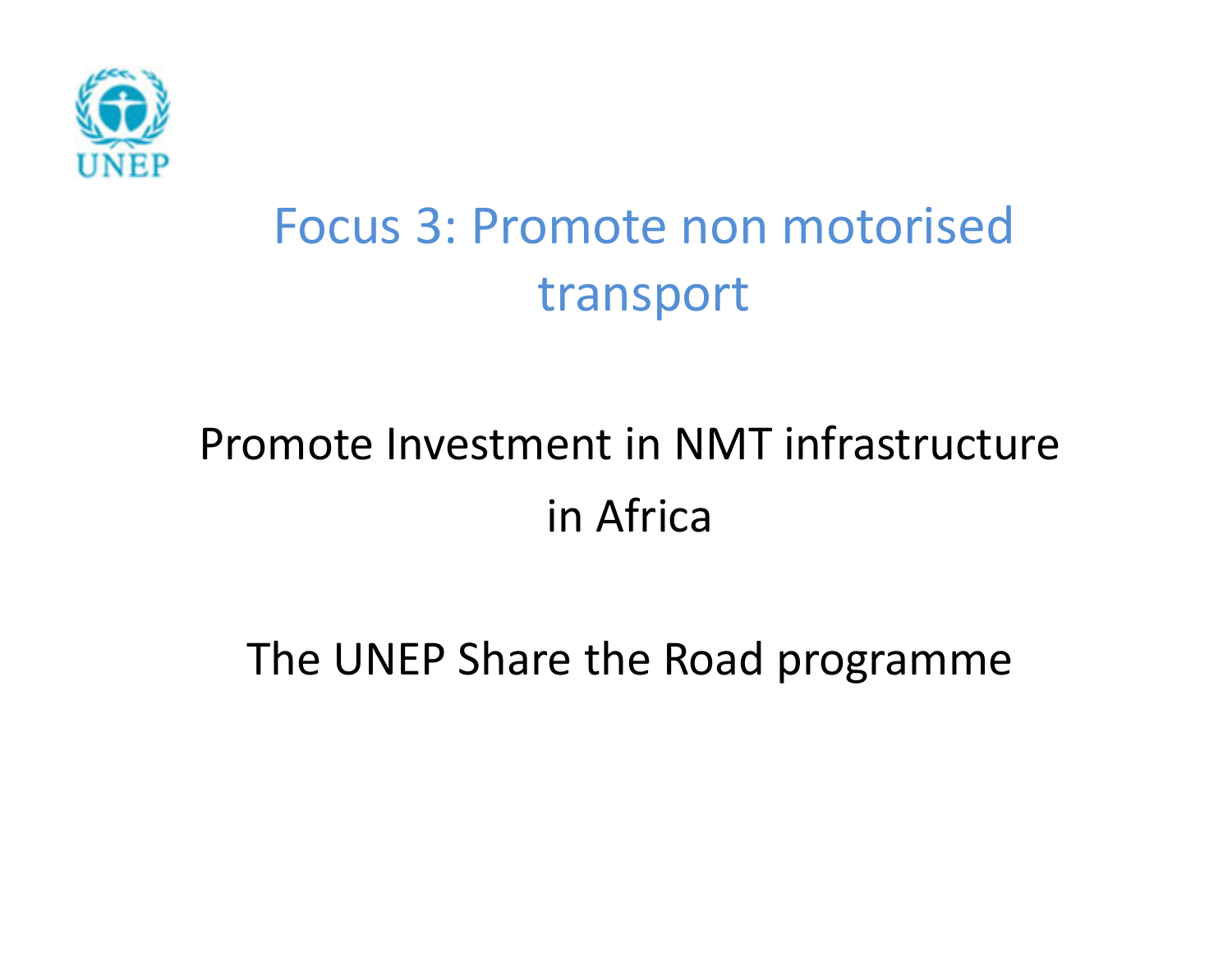

# Focus 3: Promote non motorised transport

## Promote Investment in NMT infrastructure in Africa

The UNEP Share the Road programme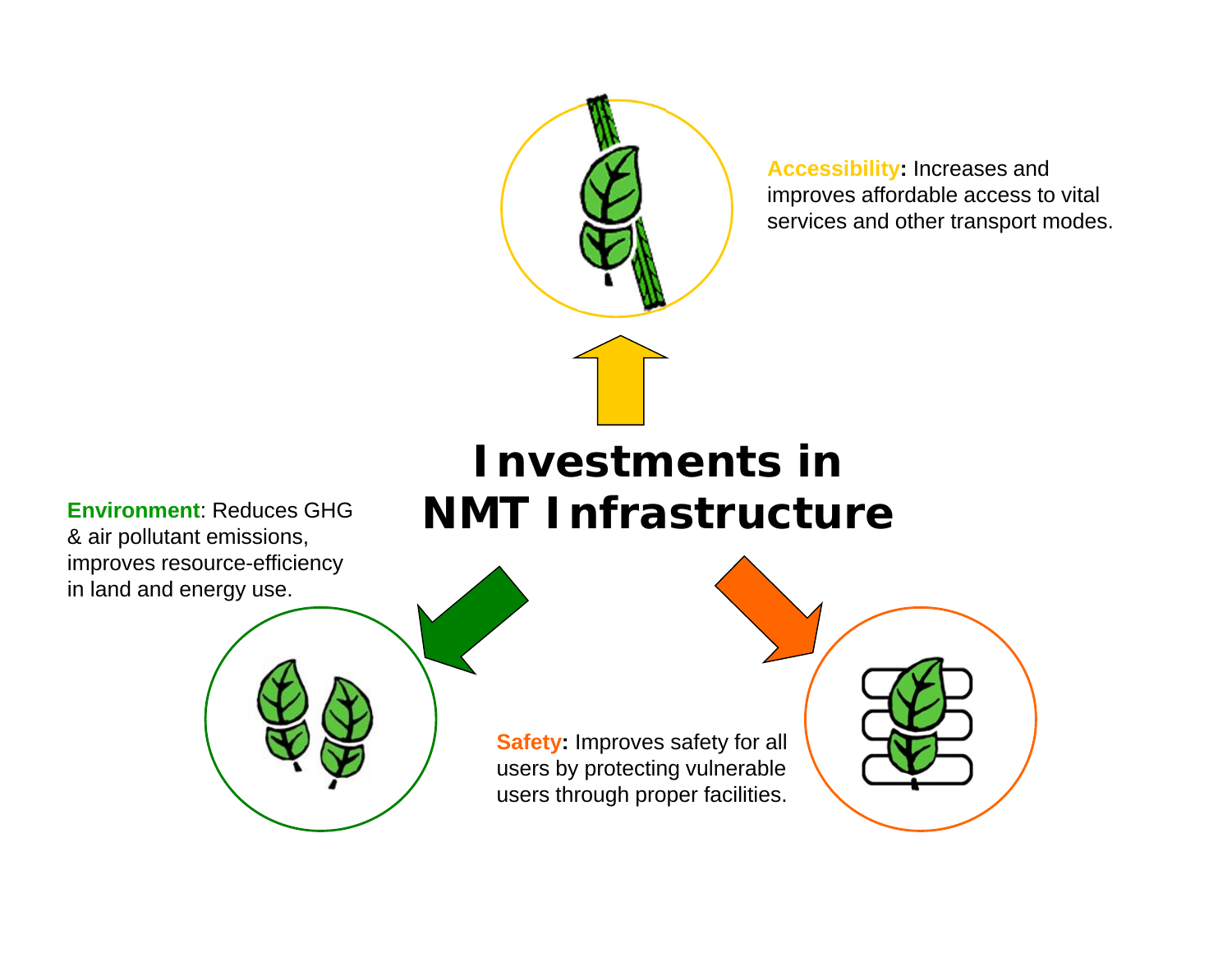

**Accessibility:** Increases and improves affordable access to vital services and other transport modes.

### **Investments in Environment**: Reduces GHG **NMT Infrastructure**

 & air pollutant emissions, improves resource-efficiency in land and energy use.



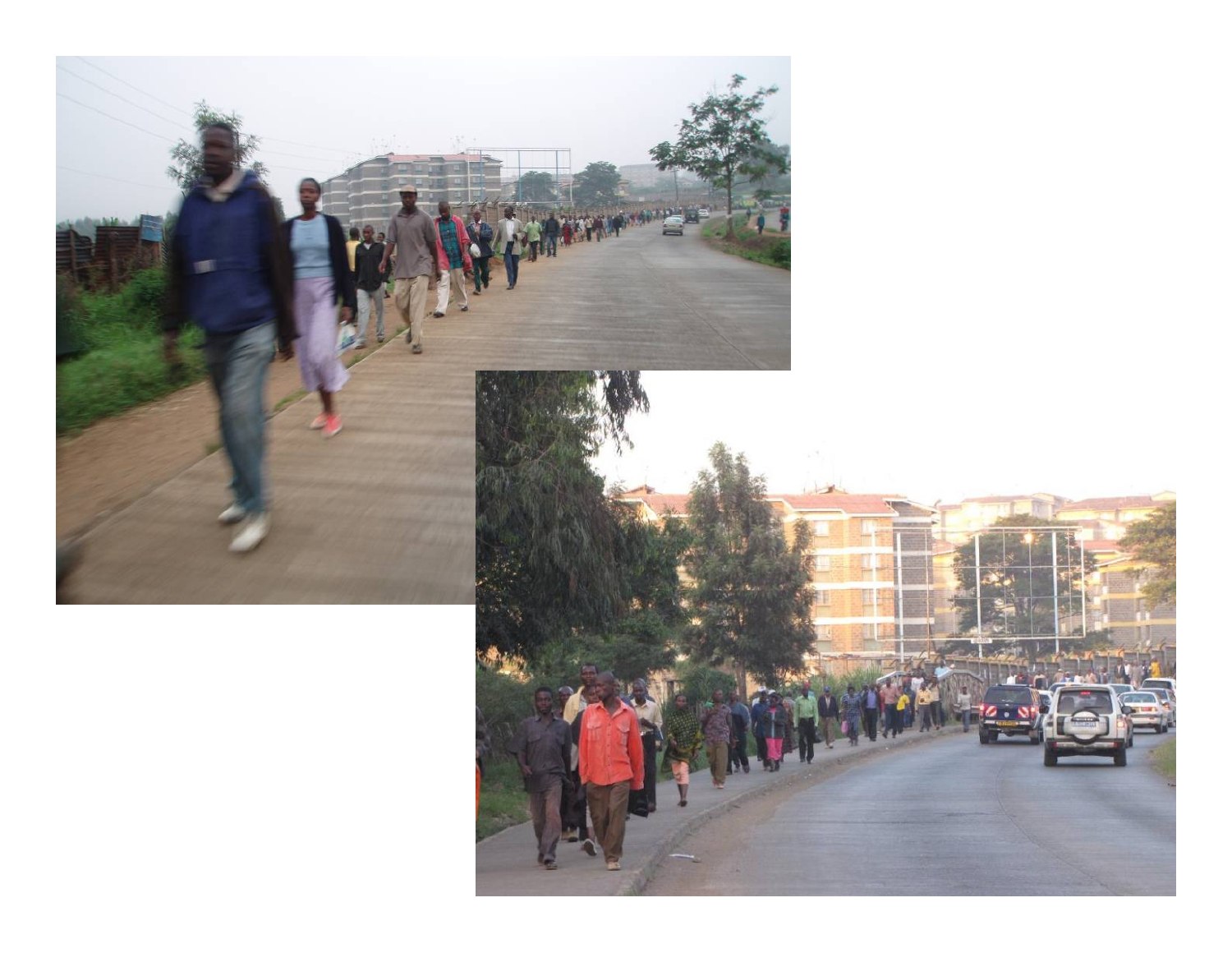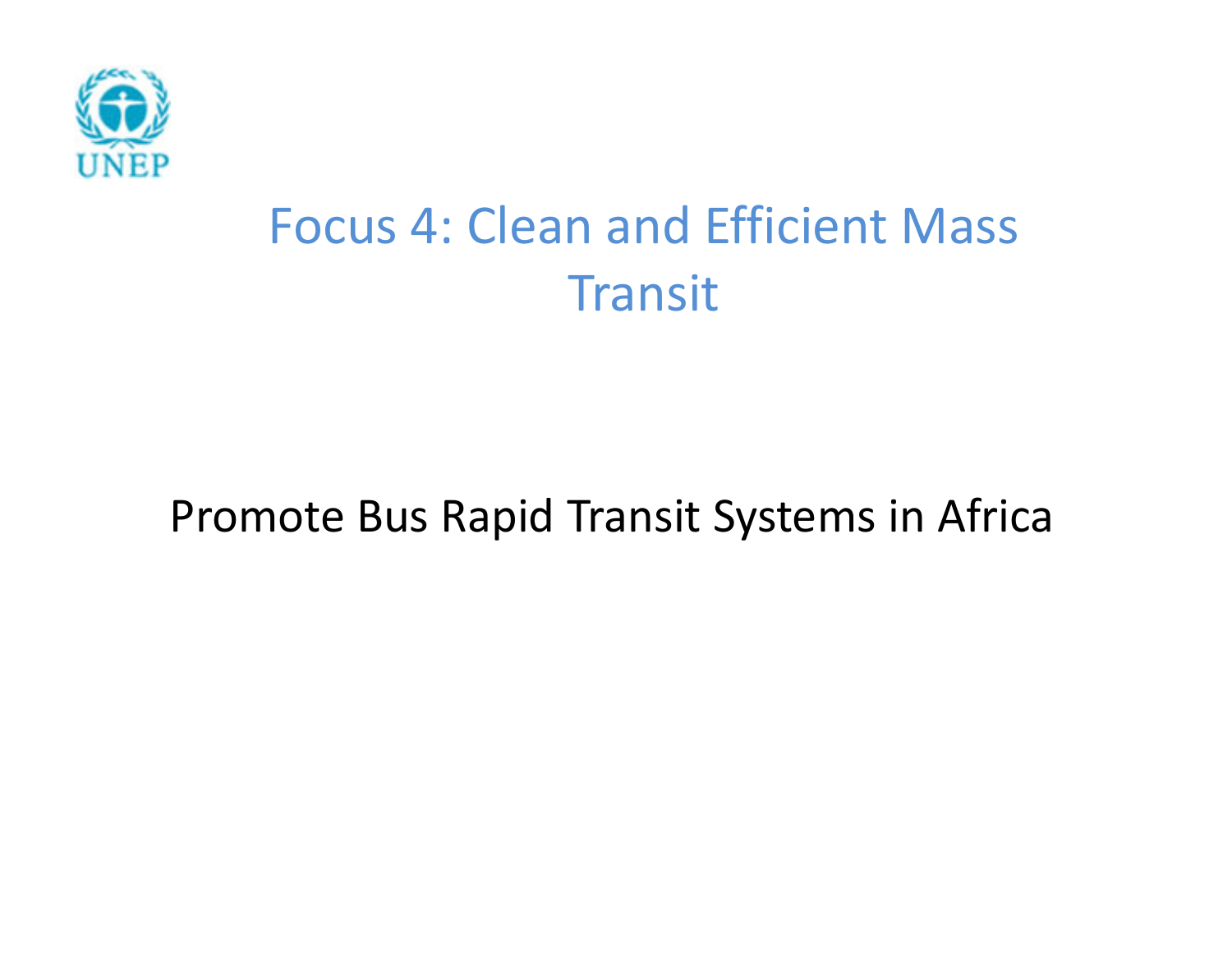

# Focus 4: Clean and Efficient Mass **Transit**

### Promote Bus Rapid Transit Systems in Africa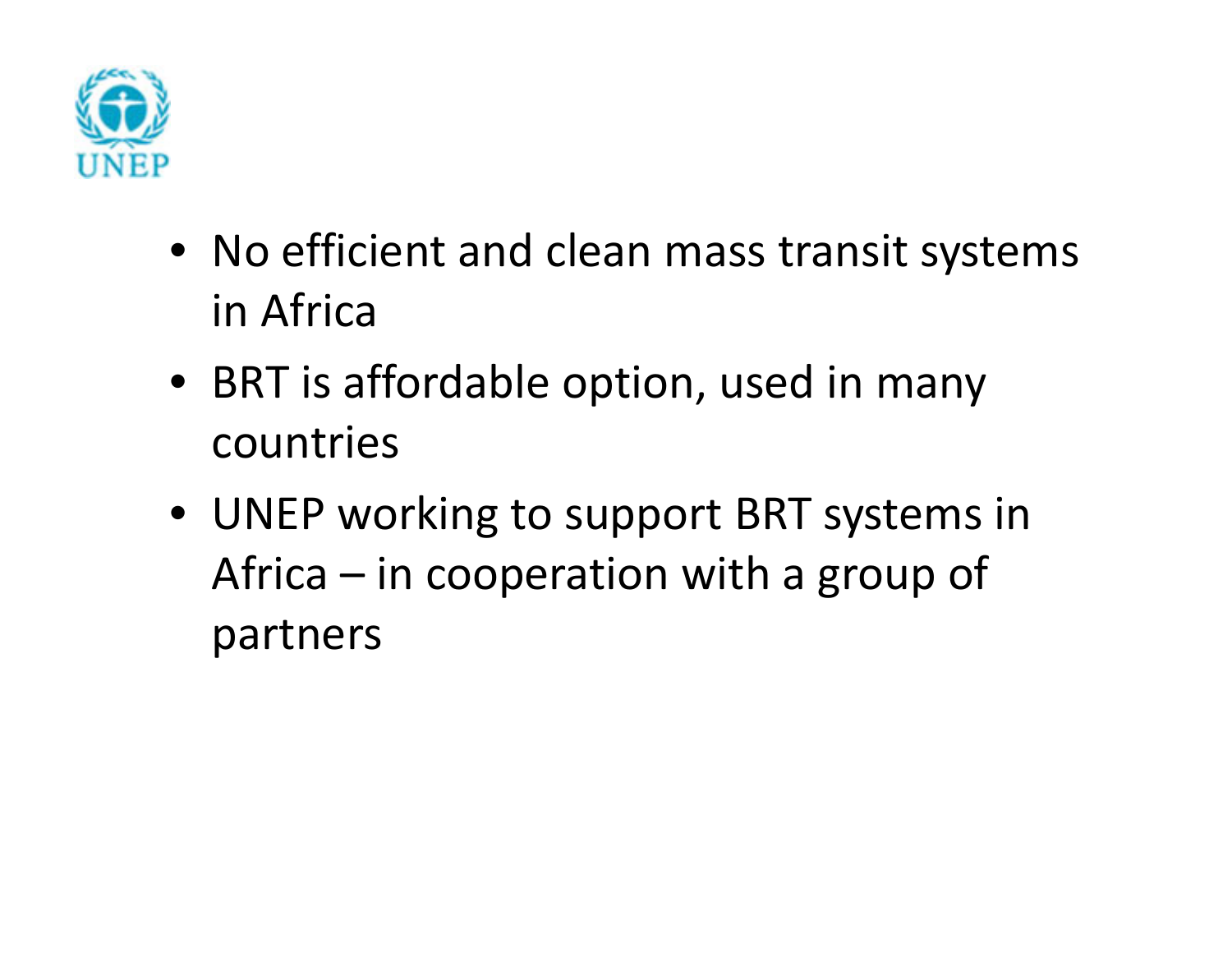

- No efficient and clean mass transit systems in Africa
- BRT is affordable option, used in many countries
- UNEP working to support BRT systems in Africa – in cooperation with <sup>a</sup> group of partners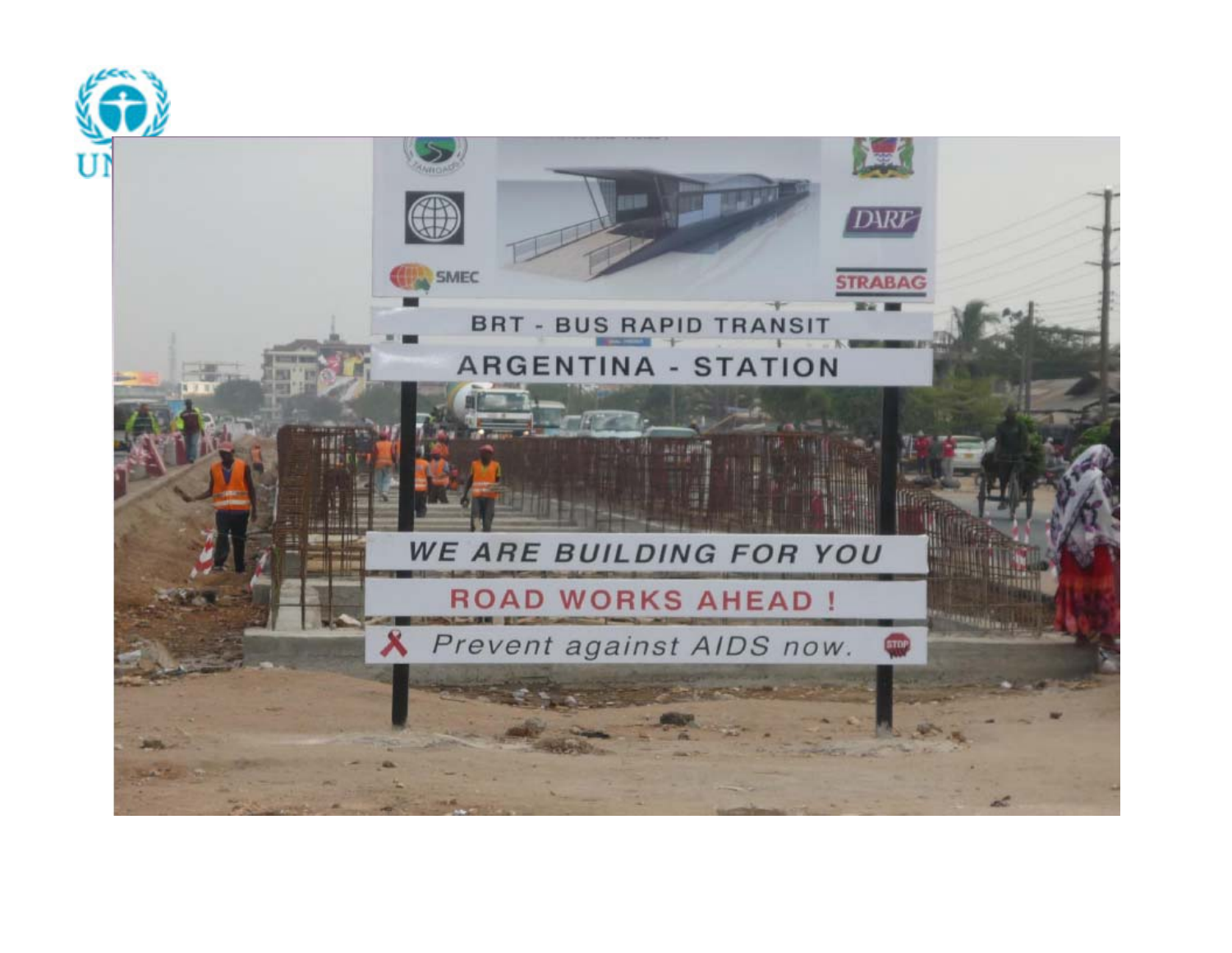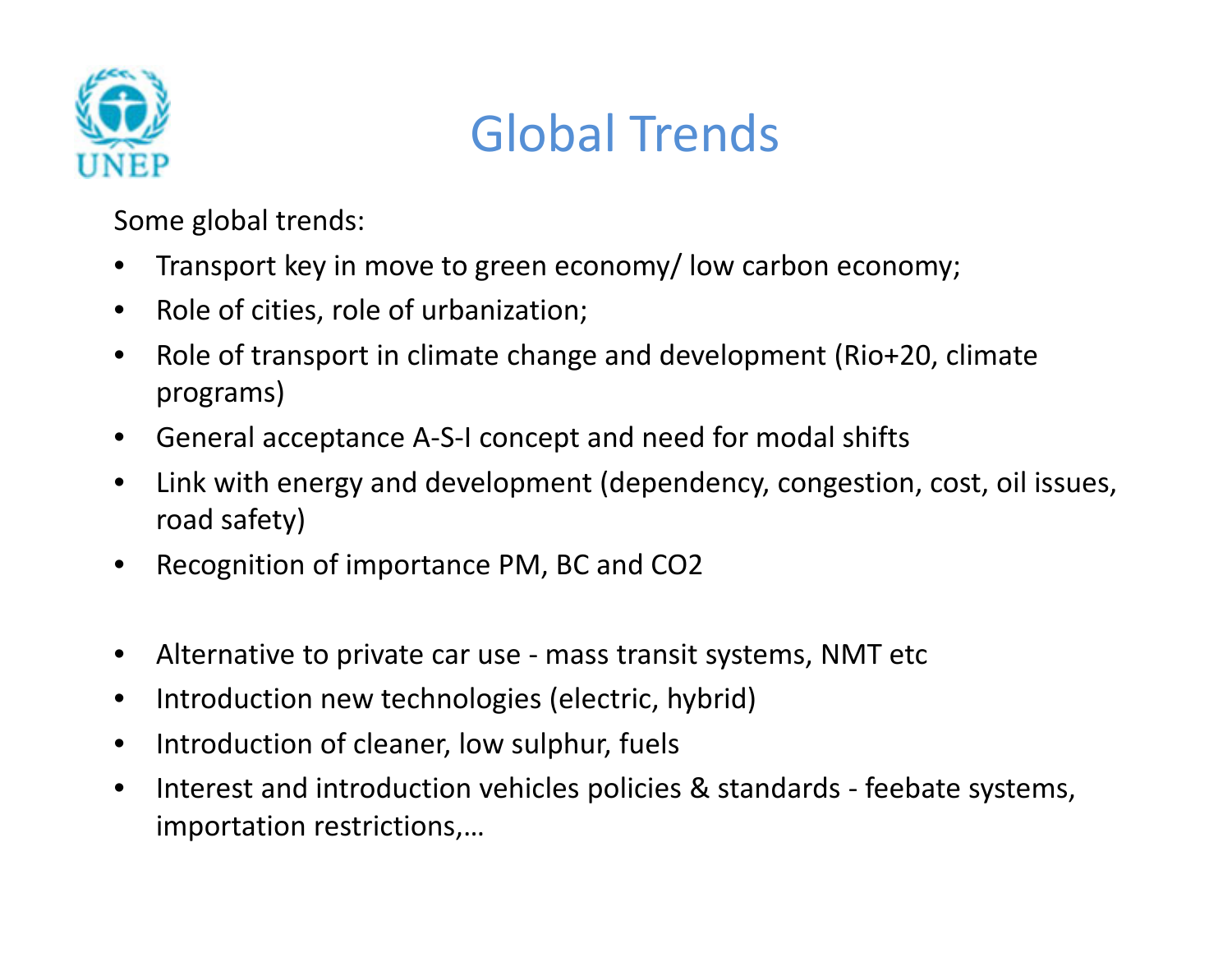

## Global Trends

Some global trends:

- $\bullet$ Transport key in move to green economy/ low carbon economy;
- •• Role of cities, role of urbanization;
- •● Role of transport in climate change and development (Rio+20, climate programs)
- General acceptance A‐S‐I concept and need for modal shifts
- $\bullet$  Link with energy and development (dependency, congestion, cost, oil issues, road safety)
- $\bullet$ Recognition of importance PM, BC and CO2
- •Alternative to private car use ‐ mass transit systems, NMT etc
- $\bullet$ **•** Introduction new technologies (electric, hybrid)
- $\bullet$ • Introduction of cleaner, low sulphur, fuels
- $\bullet$ • Interest and introduction vehicles policies & standards - feebate systems, importation restrictions,…